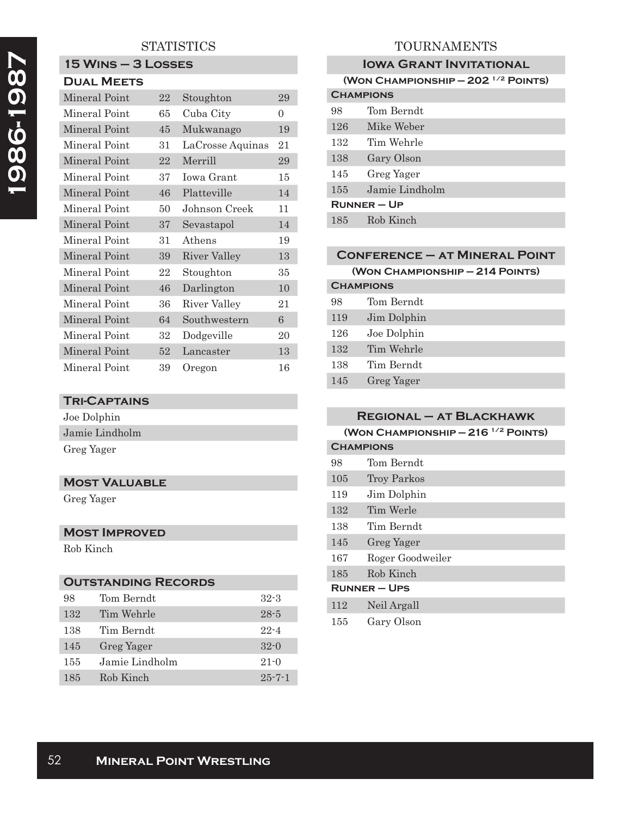## **STATISTICS**

# **15 Wins – 3 Losses**

| <b>DUAL MEETS</b> |    |                  |          |
|-------------------|----|------------------|----------|
| Mineral Point     | 22 | Stoughton        | 29       |
| Mineral Point     | 65 | Cuba City        | $\Omega$ |
| Mineral Point     | 45 | Mukwanago        | 19       |
| Mineral Point     | 31 | LaCrosse Aquinas | 21       |
| Mineral Point     | 22 | Merrill          | 29       |
| Mineral Point     | 37 | Iowa Grant       | 15       |
| Mineral Point     | 46 | Platteville      | 14       |
| Mineral Point     | 50 | Johnson Creek    | 11       |
| Mineral Point     | 37 | Sevastapol       | 14       |
| Mineral Point     | 31 | Athens           | 19       |
| Mineral Point     | 39 | River Valley     | 13       |
| Mineral Point     | 22 | Stoughton        | 35       |
| Mineral Point     | 46 | Darlington       | 10       |
| Mineral Point     | 36 | River Valley     | 21       |
| Mineral Point     | 64 | Southwestern     | 6        |
| Mineral Point     | 32 | Dodgeville       | 20       |
| Mineral Point     | 52 | Lancaster        | 13       |
| Mineral Point     | 39 | Oregon           | 16       |

#### **Tri-Captains**

| Joe Dolphin    |
|----------------|
| Jamie Lindholm |
| Greg Yager     |

### **Most Valuable**

Greg Yager

#### **Most Improved**

Rob Kinch

| <b>OUTSTANDING RECORDS</b> |                |              |
|----------------------------|----------------|--------------|
| 98                         | Tom Berndt     | $32 - 3$     |
| 132                        | Tim Wehrle     | $28 - 5$     |
| 138                        | Tim Berndt     | $22 - 4$     |
| 145                        | Greg Yager     | $32-0$       |
| 155                        | Jamie Lindholm | $21 - 0$     |
| 185                        | Rob Kinch      | $25 - 7 - 1$ |

## TOURNAMENTS

| <b>IOWA GRANT INVITATIONAL</b>                  |                |
|-------------------------------------------------|----------------|
| (WON CHAMPIONSHIP $-202$ <sup>1/2</sup> POINTS) |                |
| <b>CHAMPIONS</b>                                |                |
| 98                                              | Tom Berndt     |
| 126                                             | Mike Weber     |
| 132                                             | Tim Wehrle     |
| 138                                             | Gary Olson     |
| 145                                             | Greg Yager     |
| 155                                             | Jamie Lindholm |
| $R$ UNNER – UP                                  |                |
| 185                                             | Rob Kinch      |

## **Conference – at Mineral Point**

| (WON CHAMPIONSHIP - 214 POINTS) |  |
|---------------------------------|--|
|---------------------------------|--|

| <b>CHAMPIONS</b> |             |
|------------------|-------------|
| 98               | Tom Berndt  |
| 119              | Jim Dolphin |
| 126              | Joe Dolphin |
| 132              | Tim Wehrle  |
| 138              | Tim Berndt  |
| 145              | Greg Yager  |

| $REGIONAL - AT BLACKHAWK$                 |                  |
|-------------------------------------------|------------------|
| (WON CHAMPIONSHIP $-216$ $^{1/2}$ POINTS) |                  |
| <b>CHAMPIONS</b>                          |                  |
| 98.                                       | Tom Berndt       |
| 105                                       | Troy Parkos      |
| 119                                       | Jim Dolphin      |
| 132                                       | Tim Werle        |
| 138                                       | Tim Berndt       |
| 145                                       | Greg Yager       |
| 167                                       | Roger Goodweiler |
| 185                                       | Rob Kinch        |
| RUNNER – UPS                              |                  |
| 112                                       | Neil Argall      |

### 155 Gary Olson